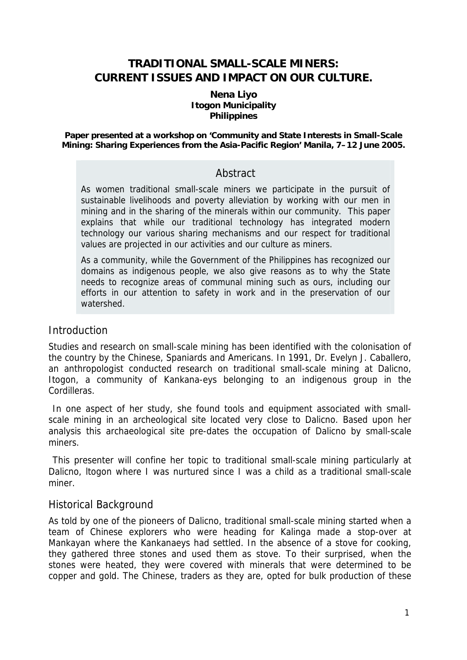# **TRADITIONAL SMALL-SCALE MINERS: CURRENT ISSUES AND IMPACT ON OUR CULTURE.**

#### **Nena Liyo Itogon Municipality Philippines**

**Paper presented at a workshop on 'Community and State Interests in Small-Scale Mining: Sharing Experiences from the Asia-Pacific Region' Manila, 7–12 June 2005.** 

# Abstract

As women traditional small-scale miners we participate in the pursuit of sustainable livelihoods and poverty alleviation by working with our men in mining and in the sharing of the minerals within our community. This paper explains that while our traditional technology has integrated modern technology our various sharing mechanisms and our respect for traditional values are projected in our activities and our culture as miners.

As a community, while the Government of the Philippines has recognized our domains as indigenous people, we also give reasons as to why the State needs to recognize areas of communal mining such as ours, including our efforts in our attention to safety in work and in the preservation of our watershed.

#### **Introduction**

Studies and research on small-scale mining has been identified with the colonisation of the country by the Chinese, Spaniards and Americans. In 1991, Dr. Evelyn J. Caballero, an anthropologist conducted research on traditional small-scale mining at Dalicno, Itogon, a community of Kankana-eys belonging to an indigenous group in the Cordilleras.

In one aspect of her study, she found tools and equipment associated with smallscale mining in an archeological site located very close to Dalicno. Based upon her analysis this archaeological site pre-dates the occupation of Dalicno by small-scale miners.

This presenter will confine her topic to traditional small-scale mining particularly at Dalicno, ltogon where I was nurtured since I was a child as a traditional small-scale miner.

# Historical Background

As told by one of the pioneers of Dalicno, traditional small-scale mining started when a team of Chinese explorers who were heading for Kalinga made a stop-over at Mankayan where the Kankanaeys had settled. In the absence of a stove for cooking, they gathered three stones and used them as stove. To their surprised, when the stones were heated, they were covered with minerals that were determined to be copper and gold. The Chinese, traders as they are, opted for bulk production of these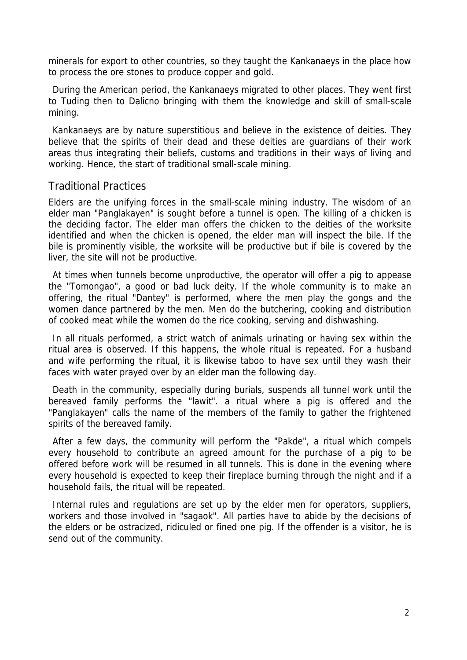minerals for export to other countries, so they taught the Kankanaeys in the place how to process the ore stones to produce copper and gold.

During the American period, the Kankanaeys migrated to other places. They went first to Tuding then to Dalicno bringing with them the knowledge and skill of small-scale mining.

Kankanaeys are by nature superstitious and believe in the existence of deities. They believe that the spirits of their dead and these deities are guardians of their work areas thus integrating their beliefs, customs and traditions in their ways of living and working. Hence, the start of traditional small-scale mining.

### Traditional Practices

Elders are the unifying forces in the small-scale mining industry. The wisdom of an elder man "Panglakayen" is sought before a tunnel is open. The killing of a chicken is the deciding factor. The elder man offers the chicken to the deities of the worksite identified and when the chicken is opened, the elder man will inspect the bile. If the bile is prominently visible, the worksite will be productive but if bile is covered by the liver, the site will not be productive.

At times when tunnels become unproductive, the operator will offer a pig to appease the "Tomongao", a good or bad luck deity. If the whole community is to make an offering, the ritual "Dantey" is performed, where the men play the gongs and the women dance partnered by the men. Men do the butchering, cooking and distribution of cooked meat while the women do the rice cooking, serving and dishwashing.

In all rituals performed, a strict watch of animals urinating or having sex within the ritual area is observed. If this happens, the whole ritual is repeated. For a husband and wife performing the ritual, it is likewise taboo to have sex until they wash their faces with water prayed over by an elder man the following day.

Death in the community, especially during burials, suspends all tunnel work until the bereaved family performs the "lawit". a ritual where a pig is offered and the "Panglakayen" calls the name of the members of the family to gather the frightened spirits of the bereaved family.

After a few days, the community will perform the "Pakde", a ritual which compels every household to contribute an agreed amount for the purchase of a pig to be offered before work will be resumed in all tunnels. This is done in the evening where every household is expected to keep their fireplace burning through the night and if a household fails, the ritual will be repeated.

Internal rules and regulations are set up by the elder men for operators, suppliers, workers and those involved in "sagaok". All parties have to abide by the decisions of the elders or be ostracized, ridiculed or fined one pig. If the offender is a visitor, he is send out of the community.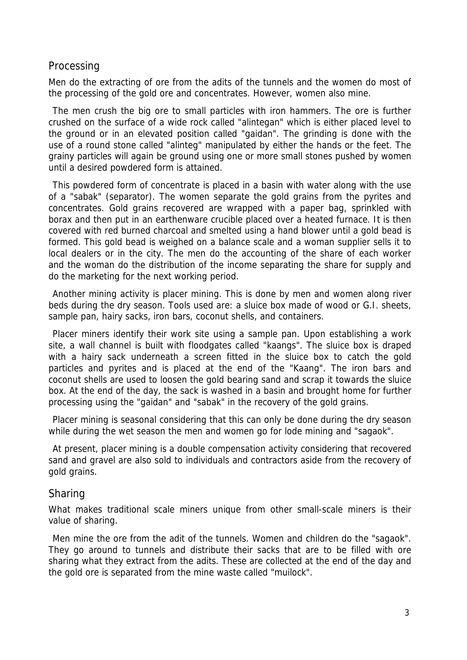### Processing

Men do the extracting of ore from the adits of the tunnels and the women do most of the processing of the gold ore and concentrates. However, women also mine.

The men crush the big ore to small particles with iron hammers. The ore is further crushed on the surface of a wide rock called "alintegan" which is either placed level to the ground or in an elevated position called "gaidan". The grinding is done with the use of a round stone called "alinteg" manipulated by either the hands or the feet. The grainy particles will again be ground using one or more small stones pushed by women until a desired powdered form is attained.

This powdered form of concentrate is placed in a basin with water along with the use of a "sabak" (separator). The women separate the gold grains from the pyrites and concentrates. Gold grains recovered are wrapped with a paper bag, sprinkled with borax and then put in an earthenware crucible placed over a heated furnace. It is then covered with red burned charcoal and smelted using a hand blower until a gold bead is formed. This gold bead is weighed on a balance scale and a woman supplier sells it to local dealers or in the city. The men do the accounting of the share of each worker and the woman do the distribution of the income separating the share for supply and do the marketing for the next working period.

Another mining activity is placer mining. This is done by men and women along river beds during the dry season. Tools used are: a sluice box made of wood or G.I. sheets, sample pan, hairy sacks, iron bars, coconut shells, and containers.

Placer miners identify their work site using a sample pan. Upon establishing a work site, a wall channel is built with floodgates called "kaangs". The sluice box is draped with a hairy sack underneath a screen fitted in the sluice box to catch the gold particles and pyrites and is placed at the end of the "Kaang". The iron bars and coconut shells are used to loosen the gold bearing sand and scrap it towards the sluice box. At the end of the day, the sack is washed in a basin and brought home for further processing using the "gaidan" and "sabak" in the recovery of the gold grains.

Placer mining is seasonal considering that this can only be done during the dry season while during the wet season the men and women go for lode mining and "sagaok".

At present, placer mining is a double compensation activity considering that recovered sand and gravel are also sold to individuals and contractors aside from the recovery of gold grains.

#### Sharing

What makes traditional scale miners unique from other small-scale miners is their value of sharing.

Men mine the ore from the adit of the tunnels. Women and children do the "sagaok". They go around to tunnels and distribute their sacks that are to be filled with ore sharing what they extract from the adits. These are collected at the end of the day and the gold ore is separated from the mine waste called "muilock".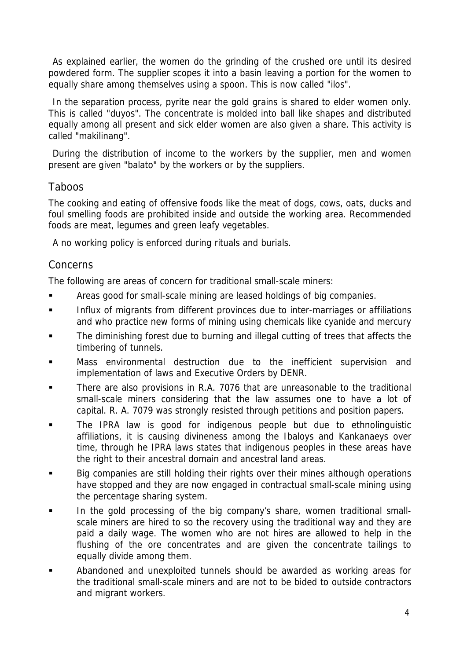As explained earlier, the women do the grinding of the crushed ore until its desired powdered form. The supplier scopes it into a basin leaving a portion for the women to equally share among themselves using a spoon. This is now called "ilos".

In the separation process, pyrite near the gold grains is shared to elder women only. This is called "duyos". The concentrate is molded into ball like shapes and distributed equally among all present and sick elder women are also given a share. This activity is called "makilinang".

During the distribution of income to the workers by the supplier, men and women present are given "balato" by the workers or by the suppliers.

# **Taboos**

The cooking and eating of offensive foods like the meat of dogs, cows, oats, ducks and foul smelling foods are prohibited inside and outside the working area. Recommended foods are meat, legumes and green leafy vegetables.

A no working policy is enforced during rituals and burials.

# Concerns

The following are areas of concern for traditional small-scale miners:

- Areas good for small-scale mining are leased holdings of big companies.
- Influx of migrants from different provinces due to inter-marriages or affiliations and who practice new forms of mining using chemicals like cyanide and mercury
- The diminishing forest due to burning and illegal cutting of trees that affects the timbering of tunnels.
- Mass environmental destruction due to the inefficient supervision and implementation of laws and Executive Orders by DENR.
- There are also provisions in R.A. 7076 that are unreasonable to the traditional small-scale miners considering that the law assumes one to have a lot of capital. R. A. 7079 was strongly resisted through petitions and position papers.
- The IPRA law is good for indigenous people but due to ethnolinguistic affiliations, it is causing divineness among the Ibaloys and Kankanaeys over time, through he IPRA laws states that indigenous peoples in these areas have the right to their ancestral domain and ancestral land areas.
- Big companies are still holding their rights over their mines although operations have stopped and they are now engaged in contractual small-scale mining using the percentage sharing system.
- In the gold processing of the big company's share, women traditional smallscale miners are hired to so the recovery using the traditional way and they are paid a daily wage. The women who are not hires are allowed to help in the flushing of the ore concentrates and are given the concentrate tailings to equally divide among them.
- Abandoned and unexploited tunnels should be awarded as working areas for the traditional small-scale miners and are not to be bided to outside contractors and migrant workers.